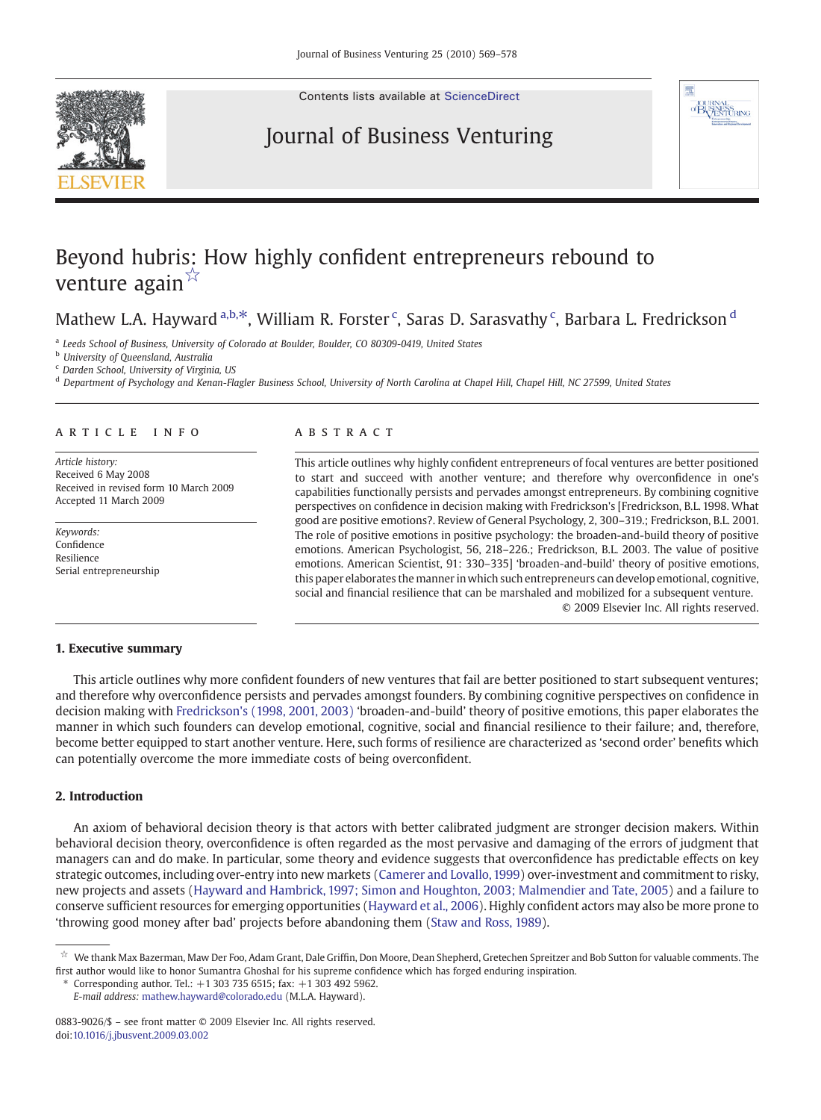

Contents lists available at [ScienceDirect](http://www.sciencedirect.com/science/journal/08839026)

## Journal of Business Venturing



# Beyond hubris: How highly confident entrepreneurs rebound to venture again<sup>☆</sup>

### Mathew L.A. Hayward <sup>a,b, $\ast$ , William R. Forster  $\lq$  , Saras D. Sarasvathy  $\lq$  , Barbara L. Fredrickson  $^{\rm d}$ </sup>

<sup>a</sup> Leeds School of Business, University of Colorado at Boulder, Boulder, CO 80309-0419, United States

**b** University of Queensland, Australia

<sup>c</sup> Darden School, University of Virginia, US

<sup>d</sup> Department of Psychology and Kenan-Flagler Business School, University of North Carolina at Chapel Hill, Chapel Hill, NC 27599, United States

#### article info abstract

Article history: Received 6 May 2008 Received in revised form 10 March 2009 Accepted 11 March 2009

Keywords: Confidence Resilience Serial entrepreneurship

This article outlines why highly confident entrepreneurs of focal ventures are better positioned to start and succeed with another venture; and therefore why overconfidence in one's capabilities functionally persists and pervades amongst entrepreneurs. By combining cognitive perspectives on confidence in decision making with Fredrickson's [Fredrickson, B.L. 1998. What good are positive emotions?. Review of General Psychology, 2, 300–319.; Fredrickson, B.L. 2001. The role of positive emotions in positive psychology: the broaden-and-build theory of positive emotions. American Psychologist, 56, 218–226.; Fredrickson, B.L. 2003. The value of positive emotions. American Scientist, 91: 330–335] 'broaden-and-build' theory of positive emotions, this paper elaborates the manner inwhich such entrepreneurs can develop emotional, cognitive, social and financial resilience that can be marshaled and mobilized for a subsequent venture. © 2009 Elsevier Inc. All rights reserved.

#### 1. Executive summary

This article outlines why more confident founders of new ventures that fail are better positioned to start subsequent ventures; and therefore why overconfidence persists and pervades amongst founders. By combining cognitive perspectives on confidence in decision making with [Fredrickson's \(1998, 2001, 2003\)](#page-7-0) 'broaden-and-build' theory of positive emotions, this paper elaborates the manner in which such founders can develop emotional, cognitive, social and financial resilience to their failure; and, therefore, become better equipped to start another venture. Here, such forms of resilience are characterized as 'second order' benefits which can potentially overcome the more immediate costs of being overconfident.

### 2. Introduction

An axiom of behavioral decision theory is that actors with better calibrated judgment are stronger decision makers. Within behavioral decision theory, overconfidence is often regarded as the most pervasive and damaging of the errors of judgment that managers can and do make. In particular, some theory and evidence suggests that overconfidence has predictable effects on key strategic outcomes, including over-entry into new markets [\(Camerer and Lovallo, 1999\)](#page-7-0) over-investment and commitment to risky, new projects and assets [\(Hayward and Hambrick, 1997; Simon and Houghton, 2003; Malmendier and Tate, 2005](#page-8-0)) and a failure to conserve sufficient resources for emerging opportunities [\(Hayward et al., 2006](#page-8-0)). Highly confident actors may also be more prone to 'throwing good money after bad' projects before abandoning them ([Staw and Ross, 1989](#page-8-0)).

⁎ Corresponding author. Tel.: +1 303 735 6515; fax: +1 303 492 5962. E-mail address: [mathew.hayward@colorado.edu](mailto:mathew.hayward@colorado.edu) (M.L.A. Hayward).

 $\mathrm{\acute{e}}$  We thank Max Bazerman, Maw Der Foo, Adam Grant, Dale Griffin, Don Moore, Dean Shepherd, Gretechen Spreitzer and Bob Sutton for valuable comments. The first author would like to honor Sumantra Ghoshal for his supreme confidence which has forged enduring inspiration.

<sup>0883-9026/\$</sup> – see front matter © 2009 Elsevier Inc. All rights reserved. doi[:10.1016/j.jbusvent.2009.03.002](http://dx.doi.org/10.1016/j.jbusvent.2009.03.002)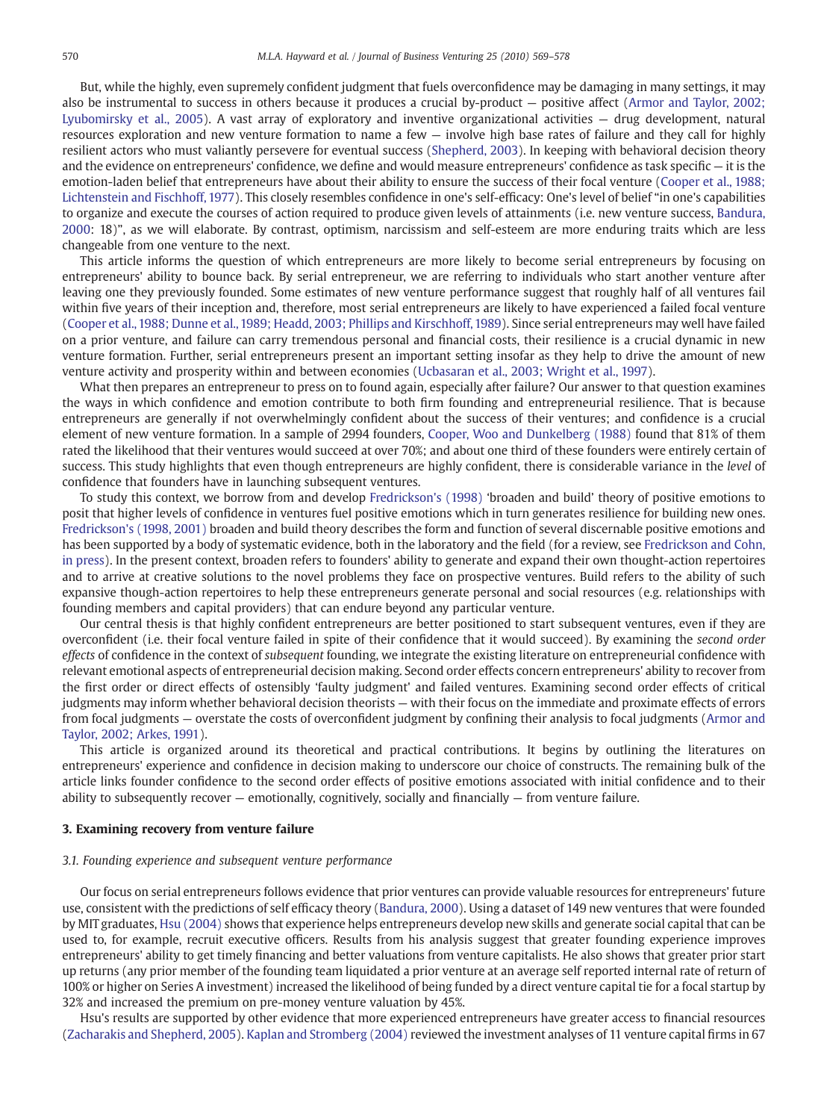But, while the highly, even supremely confident judgment that fuels overconfidence may be damaging in many settings, it may also be instrumental to success in others because it produces a crucial by-product — positive affect ([Armor and Taylor, 2002;](#page-7-0) [Lyubomirsky et al., 2005\)](#page-7-0). A vast array of exploratory and inventive organizational activities — drug development, natural resources exploration and new venture formation to name a few — involve high base rates of failure and they call for highly resilient actors who must valiantly persevere for eventual success [\(Shepherd, 2003\)](#page-8-0). In keeping with behavioral decision theory and the evidence on entrepreneurs' confidence, we define and would measure entrepreneurs' confidence as task specific — it is the emotion-laden belief that entrepreneurs have about their ability to ensure the success of their focal venture [\(Cooper et al., 1988;](#page-7-0) [Lichtenstein and Fischhoff, 1977\)](#page-7-0). This closely resembles confidence in one's self-efficacy: One's level of belief "in one's capabilities to organize and execute the courses of action required to produce given levels of attainments (i.e. new venture success, [Bandura,](#page-7-0) [2000:](#page-7-0) 18)", as we will elaborate. By contrast, optimism, narcissism and self-esteem are more enduring traits which are less changeable from one venture to the next.

This article informs the question of which entrepreneurs are more likely to become serial entrepreneurs by focusing on entrepreneurs' ability to bounce back. By serial entrepreneur, we are referring to individuals who start another venture after leaving one they previously founded. Some estimates of new venture performance suggest that roughly half of all ventures fail within five years of their inception and, therefore, most serial entrepreneurs are likely to have experienced a failed focal venture ([Cooper et al., 1988; Dunne et al., 1989; Headd, 2003; Phillips and Kirschhoff, 1989](#page-7-0)). Since serial entrepreneurs may well have failed on a prior venture, and failure can carry tremendous personal and financial costs, their resilience is a crucial dynamic in new venture formation. Further, serial entrepreneurs present an important setting insofar as they help to drive the amount of new venture activity and prosperity within and between economies [\(Ucbasaran et al., 2003; Wright et al., 1997](#page-9-0)).

What then prepares an entrepreneur to press on to found again, especially after failure? Our answer to that question examines the ways in which confidence and emotion contribute to both firm founding and entrepreneurial resilience. That is because entrepreneurs are generally if not overwhelmingly confident about the success of their ventures; and confidence is a crucial element of new venture formation. In a sample of 2994 founders, [Cooper, Woo and Dunkelberg \(1988\)](#page-7-0) found that 81% of them rated the likelihood that their ventures would succeed at over 70%; and about one third of these founders were entirely certain of success. This study highlights that even though entrepreneurs are highly confident, there is considerable variance in the level of confidence that founders have in launching subsequent ventures.

To study this context, we borrow from and develop [Fredrickson's \(1998\)](#page-7-0) 'broaden and build' theory of positive emotions to posit that higher levels of confidence in ventures fuel positive emotions which in turn generates resilience for building new ones. [Fredrickson's \(1998, 2001\)](#page-7-0) broaden and build theory describes the form and function of several discernable positive emotions and has been supported by a body of systematic evidence, both in the laboratory and the field (for a review, see [Fredrickson and Cohn,](#page-7-0) [in press](#page-7-0)). In the present context, broaden refers to founders' ability to generate and expand their own thought-action repertoires and to arrive at creative solutions to the novel problems they face on prospective ventures. Build refers to the ability of such expansive though-action repertoires to help these entrepreneurs generate personal and social resources (e.g. relationships with founding members and capital providers) that can endure beyond any particular venture.

Our central thesis is that highly confident entrepreneurs are better positioned to start subsequent ventures, even if they are overconfident (i.e. their focal venture failed in spite of their confidence that it would succeed). By examining the second order effects of confidence in the context of subsequent founding, we integrate the existing literature on entrepreneurial confidence with relevant emotional aspects of entrepreneurial decision making. Second order effects concern entrepreneurs' ability to recover from the first order or direct effects of ostensibly 'faulty judgment' and failed ventures. Examining second order effects of critical judgments may inform whether behavioral decision theorists — with their focus on the immediate and proximate effects of errors from focal judgments — overstate the costs of overconfident judgment by confining their analysis to focal judgments [\(Armor and](#page-7-0) [Taylor, 2002; Arkes, 1991](#page-7-0)).

This article is organized around its theoretical and practical contributions. It begins by outlining the literatures on entrepreneurs' experience and confidence in decision making to underscore our choice of constructs. The remaining bulk of the article links founder confidence to the second order effects of positive emotions associated with initial confidence and to their ability to subsequently recover  $-$  emotionally, cognitively, socially and financially  $-$  from venture failure.

#### 3. Examining recovery from venture failure

#### 3.1. Founding experience and subsequent venture performance

Our focus on serial entrepreneurs follows evidence that prior ventures can provide valuable resources for entrepreneurs' future use, consistent with the predictions of self efficacy theory [\(Bandura, 2000\)](#page-7-0). Using a dataset of 149 new ventures that were founded by MIT graduates, [Hsu \(2004\)](#page-8-0) shows that experience helps entrepreneurs develop new skills and generate social capital that can be used to, for example, recruit executive officers. Results from his analysis suggest that greater founding experience improves entrepreneurs' ability to get timely financing and better valuations from venture capitalists. He also shows that greater prior start up returns (any prior member of the founding team liquidated a prior venture at an average self reported internal rate of return of 100% or higher on Series A investment) increased the likelihood of being funded by a direct venture capital tie for a focal startup by 32% and increased the premium on pre-money venture valuation by 45%.

Hsu's results are supported by other evidence that more experienced entrepreneurs have greater access to financial resources ([Zacharakis and Shepherd, 2005\)](#page-9-0). [Kaplan and Stromberg \(2004\)](#page-8-0) reviewed the investment analyses of 11 venture capital firms in 67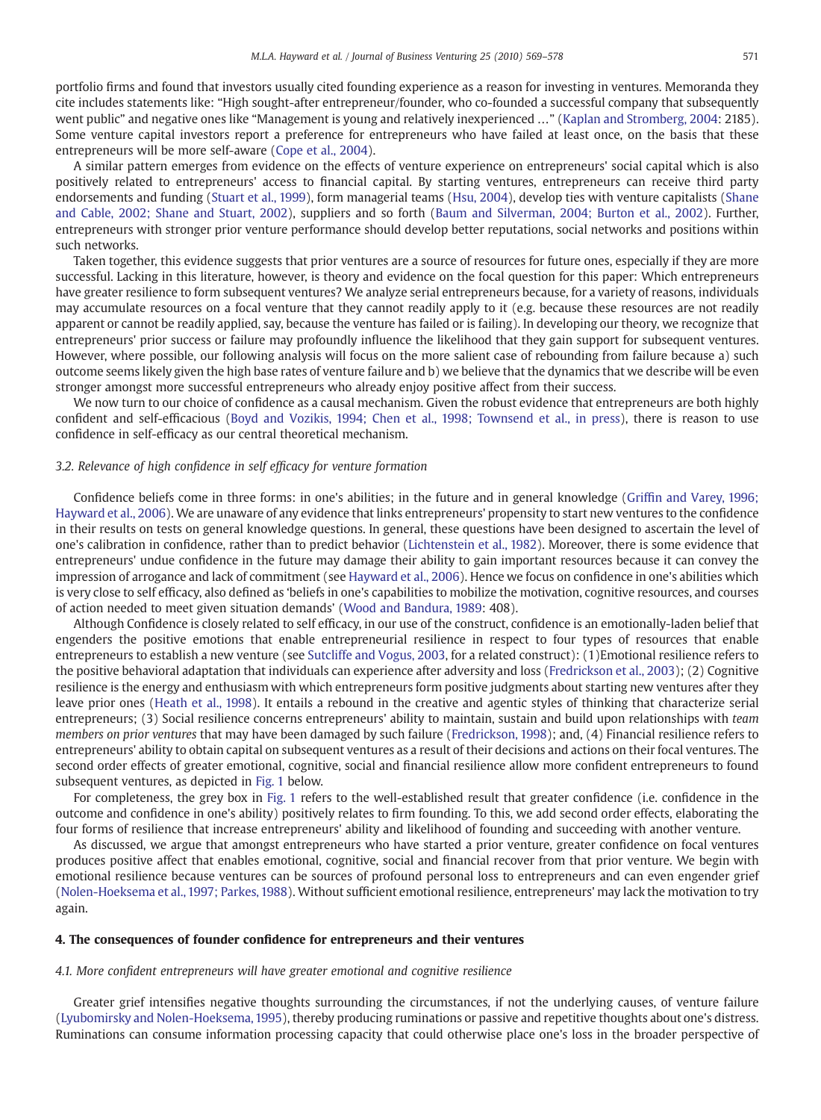portfolio firms and found that investors usually cited founding experience as a reason for investing in ventures. Memoranda they cite includes statements like: "High sought-after entrepreneur/founder, who co-founded a successful company that subsequently went public" and negative ones like "Management is young and relatively inexperienced …" [\(Kaplan and Stromberg, 2004:](#page-8-0) 2185). Some venture capital investors report a preference for entrepreneurs who have failed at least once, on the basis that these entrepreneurs will be more self-aware ([Cope et al., 2004\)](#page-7-0).

A similar pattern emerges from evidence on the effects of venture experience on entrepreneurs' social capital which is also positively related to entrepreneurs' access to financial capital. By starting ventures, entrepreneurs can receive third party endorsements and funding [\(Stuart et al., 1999\)](#page-8-0), form managerial teams [\(Hsu, 2004\)](#page-8-0), develop ties with venture capitalists [\(Shane](#page-8-0) [and Cable, 2002; Shane and Stuart, 2002\)](#page-8-0), suppliers and so forth ([Baum and Silverman, 2004; Burton et al., 2002](#page-7-0)). Further, entrepreneurs with stronger prior venture performance should develop better reputations, social networks and positions within such networks.

Taken together, this evidence suggests that prior ventures are a source of resources for future ones, especially if they are more successful. Lacking in this literature, however, is theory and evidence on the focal question for this paper: Which entrepreneurs have greater resilience to form subsequent ventures? We analyze serial entrepreneurs because, for a variety of reasons, individuals may accumulate resources on a focal venture that they cannot readily apply to it (e.g. because these resources are not readily apparent or cannot be readily applied, say, because the venture has failed or is failing). In developing our theory, we recognize that entrepreneurs' prior success or failure may profoundly influence the likelihood that they gain support for subsequent ventures. However, where possible, our following analysis will focus on the more salient case of rebounding from failure because a) such outcome seems likely given the high base rates of venture failure and b) we believe that the dynamics that we describe will be even stronger amongst more successful entrepreneurs who already enjoy positive affect from their success.

We now turn to our choice of confidence as a causal mechanism. Given the robust evidence that entrepreneurs are both highly confident and self-efficacious [\(Boyd and Vozikis, 1994; Chen et al., 1998; Townsend et al., in press](#page-7-0)), there is reason to use confidence in self-efficacy as our central theoretical mechanism.

#### 3.2. Relevance of high confidence in self efficacy for venture formation

Confidence beliefs come in three forms: in one's abilities; in the future and in general knowledge (Griffi[n and Varey, 1996;](#page-8-0) [Hayward et al., 2006\)](#page-8-0). We are unaware of any evidence that links entrepreneurs' propensity to start new ventures to the confidence in their results on tests on general knowledge questions. In general, these questions have been designed to ascertain the level of one's calibration in confidence, rather than to predict behavior ([Lichtenstein et al., 1982\)](#page-8-0). Moreover, there is some evidence that entrepreneurs' undue confidence in the future may damage their ability to gain important resources because it can convey the impression of arrogance and lack of commitment (see [Hayward et al., 2006\)](#page-8-0). Hence we focus on confidence in one's abilities which is very close to self efficacy, also defined as 'beliefs in one's capabilities to mobilize the motivation, cognitive resources, and courses of action needed to meet given situation demands' ([Wood and Bandura, 1989](#page-9-0): 408).

Although Confidence is closely related to self efficacy, in our use of the construct, confidence is an emotionally-laden belief that engenders the positive emotions that enable entrepreneurial resilience in respect to four types of resources that enable entrepreneurs to establish a new venture (see [Sutcliffe and Vogus, 2003](#page-8-0), for a related construct): (1)Emotional resilience refers to the positive behavioral adaptation that individuals can experience after adversity and loss [\(Fredrickson et al., 2003](#page-8-0)); (2) Cognitive resilience is the energy and enthusiasm with which entrepreneurs form positive judgments about starting new ventures after they leave prior ones ([Heath et al., 1998](#page-8-0)). It entails a rebound in the creative and agentic styles of thinking that characterize serial entrepreneurs; (3) Social resilience concerns entrepreneurs' ability to maintain, sustain and build upon relationships with team members on prior ventures that may have been damaged by such failure [\(Fredrickson, 1998\)](#page-7-0); and, (4) Financial resilience refers to entrepreneurs' ability to obtain capital on subsequent ventures as a result of their decisions and actions on their focal ventures. The second order effects of greater emotional, cognitive, social and financial resilience allow more confident entrepreneurs to found subsequent ventures, as depicted in [Fig. 1](#page-3-0) below.

For completeness, the grey box in [Fig. 1](#page-3-0) refers to the well-established result that greater confidence (i.e. confidence in the outcome and confidence in one's ability) positively relates to firm founding. To this, we add second order effects, elaborating the four forms of resilience that increase entrepreneurs' ability and likelihood of founding and succeeding with another venture.

As discussed, we argue that amongst entrepreneurs who have started a prior venture, greater confidence on focal ventures produces positive affect that enables emotional, cognitive, social and financial recover from that prior venture. We begin with emotional resilience because ventures can be sources of profound personal loss to entrepreneurs and can even engender grief [\(Nolen-Hoeksema et al., 1997; Parkes, 1988\)](#page-8-0). Without sufficient emotional resilience, entrepreneurs' may lack the motivation to try again.

#### 4. The consequences of founder confidence for entrepreneurs and their ventures

#### 4.1. More confident entrepreneurs will have greater emotional and cognitive resilience

Greater grief intensifies negative thoughts surrounding the circumstances, if not the underlying causes, of venture failure [\(Lyubomirsky and Nolen-Hoeksema, 1995\)](#page-8-0), thereby producing ruminations or passive and repetitive thoughts about one's distress. Ruminations can consume information processing capacity that could otherwise place one's loss in the broader perspective of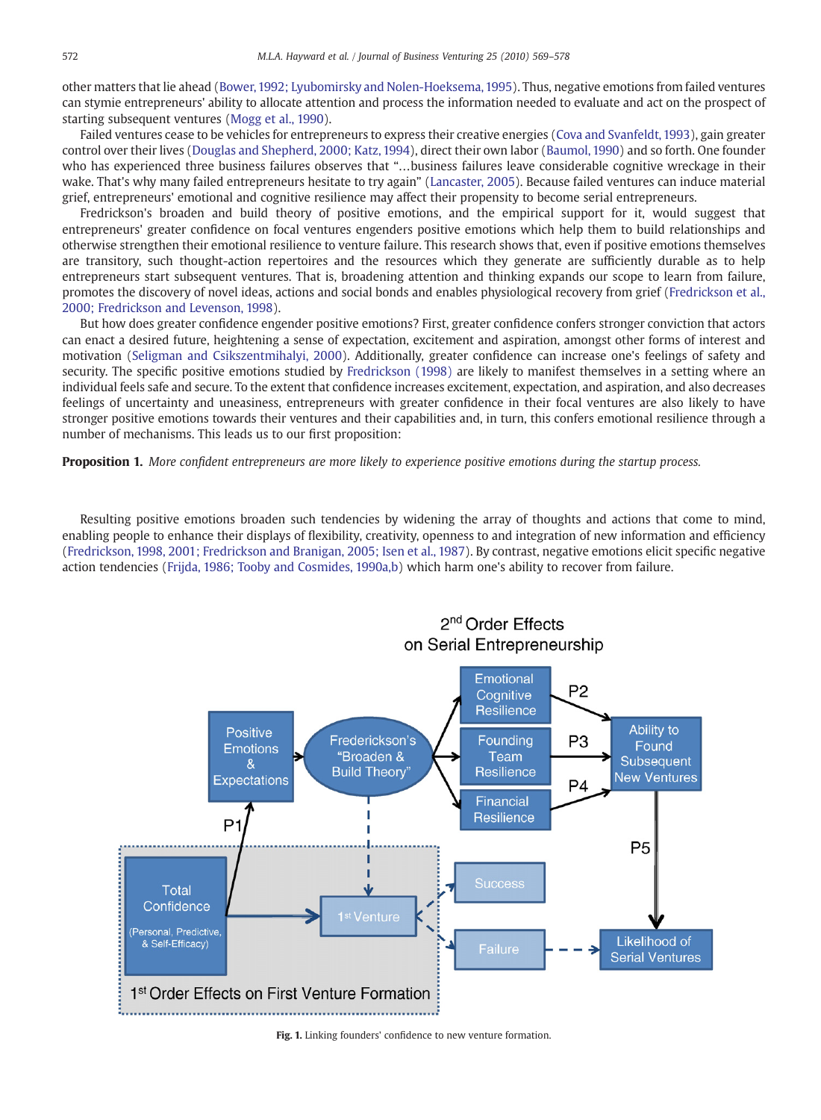<span id="page-3-0"></span>other matters that lie ahead [\(Bower, 1992; Lyubomirsky and Nolen-Hoeksema, 1995\)](#page-7-0). Thus, negative emotions from failed ventures can stymie entrepreneurs' ability to allocate attention and process the information needed to evaluate and act on the prospect of starting subsequent ventures ([Mogg et al., 1990\)](#page-8-0).

Failed ventures cease to be vehicles for entrepreneurs to express their creative energies ([Cova and Svanfeldt, 1993\)](#page-7-0), gain greater control over their lives [\(Douglas and Shepherd, 2000; Katz, 1994\)](#page-7-0), direct their own labor [\(Baumol, 1990\)](#page-7-0) and so forth. One founder who has experienced three business failures observes that "…business failures leave considerable cognitive wreckage in their wake. That's why many failed entrepreneurs hesitate to try again" [\(Lancaster, 2005](#page-8-0)). Because failed ventures can induce material grief, entrepreneurs' emotional and cognitive resilience may affect their propensity to become serial entrepreneurs.

Fredrickson's broaden and build theory of positive emotions, and the empirical support for it, would suggest that entrepreneurs' greater confidence on focal ventures engenders positive emotions which help them to build relationships and otherwise strengthen their emotional resilience to venture failure. This research shows that, even if positive emotions themselves are transitory, such thought-action repertoires and the resources which they generate are sufficiently durable as to help entrepreneurs start subsequent ventures. That is, broadening attention and thinking expands our scope to learn from failure, promotes the discovery of novel ideas, actions and social bonds and enables physiological recovery from grief ([Fredrickson et al.,](#page-7-0) [2000; Fredrickson and Levenson, 1998\)](#page-7-0).

But how does greater confidence engender positive emotions? First, greater confidence confers stronger conviction that actors can enact a desired future, heightening a sense of expectation, excitement and aspiration, amongst other forms of interest and motivation ([Seligman and Csikszentmihalyi, 2000\)](#page-8-0). Additionally, greater confidence can increase one's feelings of safety and security. The specific positive emotions studied by [Fredrickson \(1998\)](#page-7-0) are likely to manifest themselves in a setting where an individual feels safe and secure. To the extent that confidence increases excitement, expectation, and aspiration, and also decreases feelings of uncertainty and uneasiness, entrepreneurs with greater confidence in their focal ventures are also likely to have stronger positive emotions towards their ventures and their capabilities and, in turn, this confers emotional resilience through a number of mechanisms. This leads us to our first proposition:

Proposition 1. More confident entrepreneurs are more likely to experience positive emotions during the startup process.

Resulting positive emotions broaden such tendencies by widening the array of thoughts and actions that come to mind, enabling people to enhance their displays of flexibility, creativity, openness to and integration of new information and efficiency ([Fredrickson, 1998, 2001; Fredrickson and Branigan, 2005; Isen et al., 1987](#page-7-0)). By contrast, negative emotions elicit specific negative action tendencies ([Frijda, 1986; Tooby and Cosmides, 1990a,b\)](#page-8-0) which harm one's ability to recover from failure.



Fig. 1. Linking founders' confidence to new venture formation.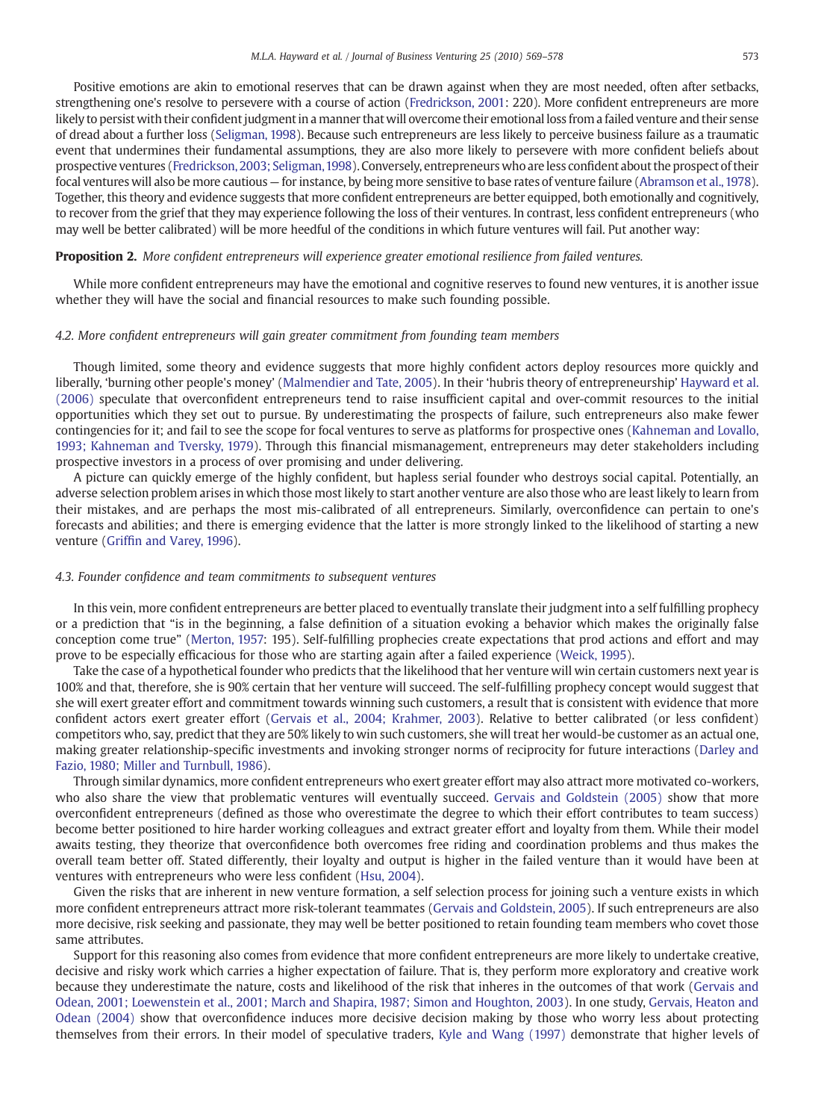Positive emotions are akin to emotional reserves that can be drawn against when they are most needed, often after setbacks, strengthening one's resolve to persevere with a course of action ([Fredrickson, 2001:](#page-7-0) 220). More confident entrepreneurs are more likely to persist with their confident judgment in a manner that will overcome their emotional loss from a failed venture and their sense of dread about a further loss [\(Seligman, 1998](#page-8-0)). Because such entrepreneurs are less likely to perceive business failure as a traumatic event that undermines their fundamental assumptions, they are also more likely to persevere with more confident beliefs about prospective ventures ([Fredrickson, 2003; Seligman,1998](#page-7-0)). Conversely, entrepreneurs who are less confident about the prospect of their focal ventures will also be more cautious — for instance, by being more sensitive to base rates of venture failure [\(Abramson et al.,1978\)](#page-7-0). Together, this theory and evidence suggests that more confident entrepreneurs are better equipped, both emotionally and cognitively, to recover from the grief that they may experience following the loss of their ventures. In contrast, less confident entrepreneurs (who may well be better calibrated) will be more heedful of the conditions in which future ventures will fail. Put another way:

#### Proposition 2. More confident entrepreneurs will experience greater emotional resilience from failed ventures.

While more confident entrepreneurs may have the emotional and cognitive reserves to found new ventures, it is another issue whether they will have the social and financial resources to make such founding possible.

#### 4.2. More confident entrepreneurs will gain greater commitment from founding team members

Though limited, some theory and evidence suggests that more highly confident actors deploy resources more quickly and liberally, 'burning other people's money' ([Malmendier and Tate, 2005\)](#page-8-0). In their 'hubris theory of entrepreneurship' [Hayward et al.](#page-8-0) [\(2006\)](#page-8-0) speculate that overconfident entrepreneurs tend to raise insufficient capital and over-commit resources to the initial opportunities which they set out to pursue. By underestimating the prospects of failure, such entrepreneurs also make fewer contingencies for it; and fail to see the scope for focal ventures to serve as platforms for prospective ones [\(Kahneman and Lovallo,](#page-8-0) [1993; Kahneman and Tversky, 1979](#page-8-0)). Through this financial mismanagement, entrepreneurs may deter stakeholders including prospective investors in a process of over promising and under delivering.

A picture can quickly emerge of the highly confident, but hapless serial founder who destroys social capital. Potentially, an adverse selection problem arises in which those most likely to start another venture are also those who are least likely to learn from their mistakes, and are perhaps the most mis-calibrated of all entrepreneurs. Similarly, overconfidence can pertain to one's forecasts and abilities; and there is emerging evidence that the latter is more strongly linked to the likelihood of starting a new venture (Griffi[n and Varey, 1996](#page-8-0)).

#### 4.3. Founder confidence and team commitments to subsequent ventures

In this vein, more confident entrepreneurs are better placed to eventually translate their judgment into a self fulfilling prophecy or a prediction that "is in the beginning, a false definition of a situation evoking a behavior which makes the originally false conception come true" ([Merton, 1957:](#page-8-0) 195). Self-fulfilling prophecies create expectations that prod actions and effort and may prove to be especially efficacious for those who are starting again after a failed experience ([Weick, 1995\)](#page-9-0).

Take the case of a hypothetical founder who predicts that the likelihood that her venture will win certain customers next year is 100% and that, therefore, she is 90% certain that her venture will succeed. The self-fulfilling prophecy concept would suggest that she will exert greater effort and commitment towards winning such customers, a result that is consistent with evidence that more confident actors exert greater effort ([Gervais et al., 2004; Krahmer, 2003](#page-8-0)). Relative to better calibrated (or less confident) competitors who, say, predict that they are 50% likely to win such customers, she will treat her would-be customer as an actual one, making greater relationship-specific investments and invoking stronger norms of reciprocity for future interactions ([Darley and](#page-7-0) [Fazio, 1980; Miller and Turnbull, 1986](#page-7-0)).

Through similar dynamics, more confident entrepreneurs who exert greater effort may also attract more motivated co-workers, who also share the view that problematic ventures will eventually succeed. [Gervais and Goldstein \(2005\)](#page-8-0) show that more overconfident entrepreneurs (defined as those who overestimate the degree to which their effort contributes to team success) become better positioned to hire harder working colleagues and extract greater effort and loyalty from them. While their model awaits testing, they theorize that overconfidence both overcomes free riding and coordination problems and thus makes the overall team better off. Stated differently, their loyalty and output is higher in the failed venture than it would have been at ventures with entrepreneurs who were less confident ([Hsu, 2004\)](#page-8-0).

Given the risks that are inherent in new venture formation, a self selection process for joining such a venture exists in which more confident entrepreneurs attract more risk-tolerant teammates [\(Gervais and Goldstein, 2005\)](#page-8-0). If such entrepreneurs are also more decisive, risk seeking and passionate, they may well be better positioned to retain founding team members who covet those same attributes.

Support for this reasoning also comes from evidence that more confident entrepreneurs are more likely to undertake creative, decisive and risky work which carries a higher expectation of failure. That is, they perform more exploratory and creative work because they underestimate the nature, costs and likelihood of the risk that inheres in the outcomes of that work [\(Gervais and](#page-8-0) [Odean, 2001; Loewenstein et al., 2001; March and Shapira, 1987; Simon and Houghton, 2003\)](#page-8-0). In one study, [Gervais, Heaton and](#page-8-0) [Odean \(2004\)](#page-8-0) show that overconfidence induces more decisive decision making by those who worry less about protecting themselves from their errors. In their model of speculative traders, [Kyle and Wang \(1997\)](#page-8-0) demonstrate that higher levels of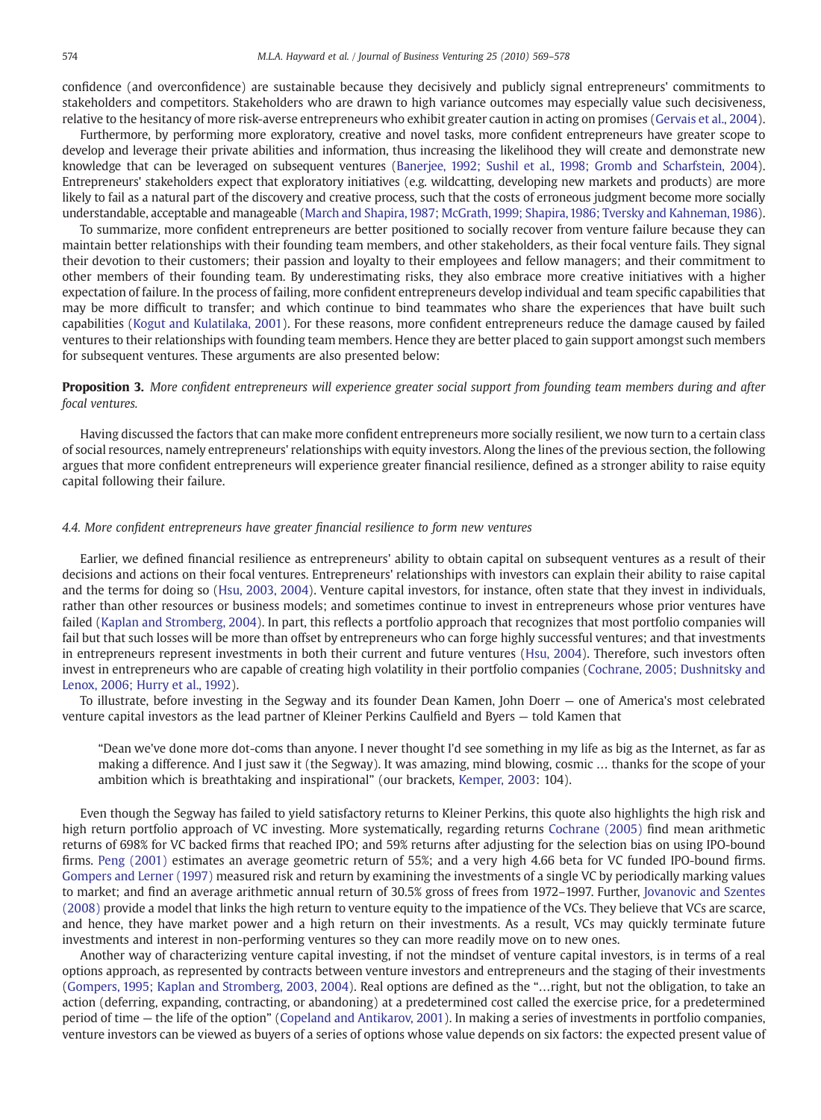confidence (and overconfidence) are sustainable because they decisively and publicly signal entrepreneurs' commitments to stakeholders and competitors. Stakeholders who are drawn to high variance outcomes may especially value such decisiveness, relative to the hesitancy of more risk-averse entrepreneurs who exhibit greater caution in acting on promises ([Gervais et al., 2004](#page-8-0)).

Furthermore, by performing more exploratory, creative and novel tasks, more confident entrepreneurs have greater scope to develop and leverage their private abilities and information, thus increasing the likelihood they will create and demonstrate new knowledge that can be leveraged on subsequent ventures [\(Banerjee, 1992; Sushil et al., 1998; Gromb and Scharfstein, 2004](#page-7-0)). Entrepreneurs' stakeholders expect that exploratory initiatives (e.g. wildcatting, developing new markets and products) are more likely to fail as a natural part of the discovery and creative process, such that the costs of erroneous judgment become more socially understandable, acceptable and manageable [\(March and Shapira, 1987; McGrath, 1999; Shapira, 1986; Tversky and Kahneman, 1986](#page-8-0)).

To summarize, more confident entrepreneurs are better positioned to socially recover from venture failure because they can maintain better relationships with their founding team members, and other stakeholders, as their focal venture fails. They signal their devotion to their customers; their passion and loyalty to their employees and fellow managers; and their commitment to other members of their founding team. By underestimating risks, they also embrace more creative initiatives with a higher expectation of failure. In the process of failing, more confident entrepreneurs develop individual and team specific capabilities that may be more difficult to transfer; and which continue to bind teammates who share the experiences that have built such capabilities [\(Kogut and Kulatilaka, 2001](#page-8-0)). For these reasons, more confident entrepreneurs reduce the damage caused by failed ventures to their relationships with founding team members. Hence they are better placed to gain support amongst such members for subsequent ventures. These arguments are also presented below:

Proposition 3. More confident entrepreneurs will experience greater social support from founding team members during and after focal ventures.

Having discussed the factors that can make more confident entrepreneurs more socially resilient, we now turn to a certain class of social resources, namely entrepreneurs' relationships with equity investors. Along the lines of the previous section, the following argues that more confident entrepreneurs will experience greater financial resilience, defined as a stronger ability to raise equity capital following their failure.

#### 4.4. More confident entrepreneurs have greater financial resilience to form new ventures

Earlier, we defined financial resilience as entrepreneurs' ability to obtain capital on subsequent ventures as a result of their decisions and actions on their focal ventures. Entrepreneurs' relationships with investors can explain their ability to raise capital and the terms for doing so ([Hsu, 2003, 2004](#page-8-0)). Venture capital investors, for instance, often state that they invest in individuals, rather than other resources or business models; and sometimes continue to invest in entrepreneurs whose prior ventures have failed ([Kaplan and Stromberg, 2004](#page-8-0)). In part, this reflects a portfolio approach that recognizes that most portfolio companies will fail but that such losses will be more than offset by entrepreneurs who can forge highly successful ventures; and that investments in entrepreneurs represent investments in both their current and future ventures [\(Hsu, 2004\)](#page-8-0). Therefore, such investors often invest in entrepreneurs who are capable of creating high volatility in their portfolio companies ([Cochrane, 2005; Dushnitsky and](#page-7-0) [Lenox, 2006; Hurry et al., 1992](#page-7-0)).

To illustrate, before investing in the Segway and its founder Dean Kamen, John Doerr — one of America's most celebrated venture capital investors as the lead partner of Kleiner Perkins Caulfield and Byers — told Kamen that

"Dean we've done more dot-coms than anyone. I never thought I'd see something in my life as big as the Internet, as far as making a difference. And I just saw it (the Segway). It was amazing, mind blowing, cosmic … thanks for the scope of your ambition which is breathtaking and inspirational" (our brackets, [Kemper, 2003](#page-8-0): 104).

Even though the Segway has failed to yield satisfactory returns to Kleiner Perkins, this quote also highlights the high risk and high return portfolio approach of VC investing. More systematically, regarding returns [Cochrane \(2005\)](#page-7-0) find mean arithmetic returns of 698% for VC backed firms that reached IPO; and 59% returns after adjusting for the selection bias on using IPO-bound firms. [Peng \(2001\)](#page-8-0) estimates an average geometric return of 55%; and a very high 4.66 beta for VC funded IPO-bound firms. [Gompers and Lerner \(1997\)](#page-8-0) measured risk and return by examining the investments of a single VC by periodically marking values to market; and find an average arithmetic annual return of 30.5% gross of frees from 1972–1997. Further, [Jovanovic and Szentes](#page-8-0) [\(2008\)](#page-8-0) provide a model that links the high return to venture equity to the impatience of the VCs. They believe that VCs are scarce, and hence, they have market power and a high return on their investments. As a result, VCs may quickly terminate future investments and interest in non-performing ventures so they can more readily move on to new ones.

Another way of characterizing venture capital investing, if not the mindset of venture capital investors, is in terms of a real options approach, as represented by contracts between venture investors and entrepreneurs and the staging of their investments ([Gompers, 1995; Kaplan and Stromberg, 2003, 2004](#page-8-0)). Real options are defined as the "…right, but not the obligation, to take an action (deferring, expanding, contracting, or abandoning) at a predetermined cost called the exercise price, for a predetermined period of time — the life of the option" ([Copeland and Antikarov, 2001](#page-7-0)). In making a series of investments in portfolio companies, venture investors can be viewed as buyers of a series of options whose value depends on six factors: the expected present value of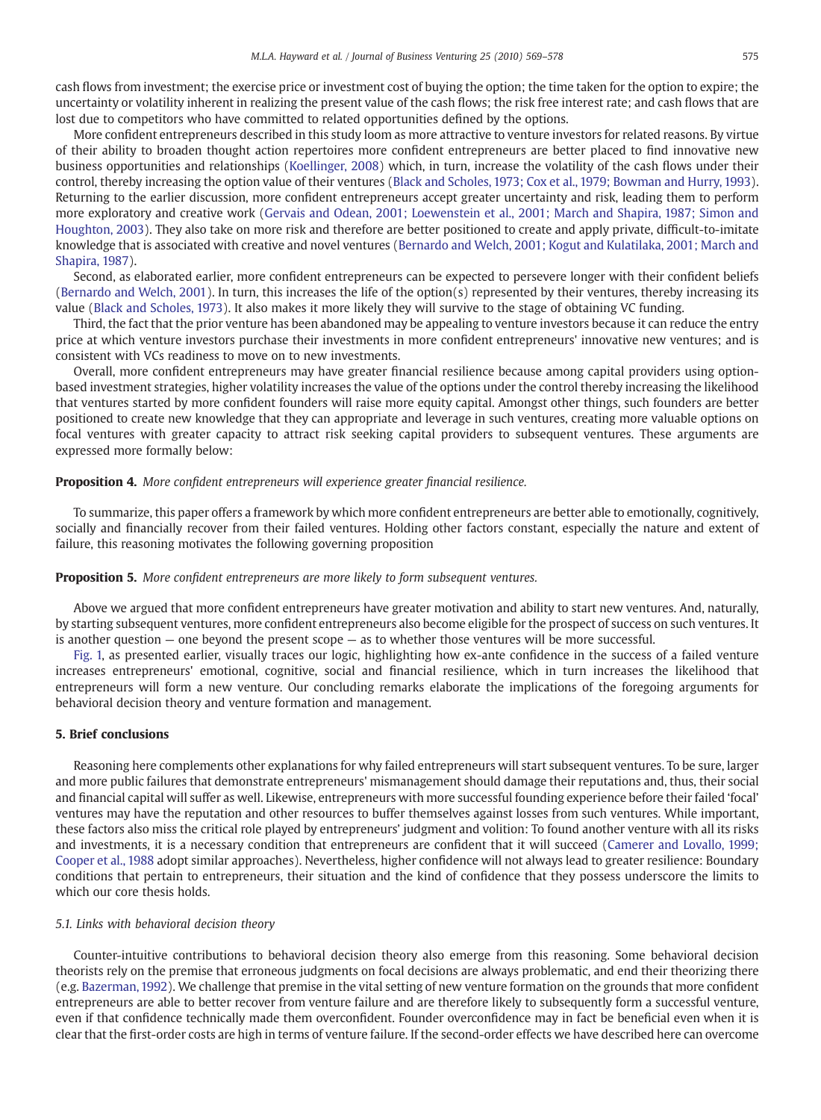cash flows from investment; the exercise price or investment cost of buying the option; the time taken for the option to expire; the uncertainty or volatility inherent in realizing the present value of the cash flows; the risk free interest rate; and cash flows that are lost due to competitors who have committed to related opportunities defined by the options.

More confident entrepreneurs described in this study loom as more attractive to venture investors for related reasons. By virtue of their ability to broaden thought action repertoires more confident entrepreneurs are better placed to find innovative new business opportunities and relationships ([Koellinger, 2008](#page-8-0)) which, in turn, increase the volatility of the cash flows under their control, thereby increasing the option value of their ventures ([Black and Scholes, 1973; Cox et al., 1979; Bowman and Hurry, 1993\)](#page-7-0). Returning to the earlier discussion, more confident entrepreneurs accept greater uncertainty and risk, leading them to perform more exploratory and creative work [\(Gervais and Odean, 2001; Loewenstein et al., 2001; March and Shapira, 1987; Simon and](#page-8-0) [Houghton, 2003\)](#page-8-0). They also take on more risk and therefore are better positioned to create and apply private, difficult-to-imitate knowledge that is associated with creative and novel ventures [\(Bernardo and Welch, 2001; Kogut and Kulatilaka, 2001; March and](#page-7-0) [Shapira, 1987](#page-7-0)).

Second, as elaborated earlier, more confident entrepreneurs can be expected to persevere longer with their confident beliefs [\(Bernardo and Welch, 2001](#page-7-0)). In turn, this increases the life of the option(s) represented by their ventures, thereby increasing its value [\(Black and Scholes, 1973\)](#page-7-0). It also makes it more likely they will survive to the stage of obtaining VC funding.

Third, the fact that the prior venture has been abandoned may be appealing to venture investors because it can reduce the entry price at which venture investors purchase their investments in more confident entrepreneurs' innovative new ventures; and is consistent with VCs readiness to move on to new investments.

Overall, more confident entrepreneurs may have greater financial resilience because among capital providers using optionbased investment strategies, higher volatility increases the value of the options under the control thereby increasing the likelihood that ventures started by more confident founders will raise more equity capital. Amongst other things, such founders are better positioned to create new knowledge that they can appropriate and leverage in such ventures, creating more valuable options on focal ventures with greater capacity to attract risk seeking capital providers to subsequent ventures. These arguments are expressed more formally below:

#### Proposition 4. More confident entrepreneurs will experience greater financial resilience.

To summarize, this paper offers a framework by which more confident entrepreneurs are better able to emotionally, cognitively, socially and financially recover from their failed ventures. Holding other factors constant, especially the nature and extent of failure, this reasoning motivates the following governing proposition

#### Proposition 5. More confident entrepreneurs are more likely to form subsequent ventures.

Above we argued that more confident entrepreneurs have greater motivation and ability to start new ventures. And, naturally, by starting subsequent ventures, more confident entrepreneurs also become eligible for the prospect of success on such ventures. It is another question  $-$  one beyond the present scope  $-$  as to whether those ventures will be more successful.

[Fig. 1,](#page-3-0) as presented earlier, visually traces our logic, highlighting how ex-ante confidence in the success of a failed venture increases entrepreneurs' emotional, cognitive, social and financial resilience, which in turn increases the likelihood that entrepreneurs will form a new venture. Our concluding remarks elaborate the implications of the foregoing arguments for behavioral decision theory and venture formation and management.

### 5. Brief conclusions

Reasoning here complements other explanations for why failed entrepreneurs will start subsequent ventures. To be sure, larger and more public failures that demonstrate entrepreneurs' mismanagement should damage their reputations and, thus, their social and financial capital will suffer as well. Likewise, entrepreneurs with more successful founding experience before their failed 'focal' ventures may have the reputation and other resources to buffer themselves against losses from such ventures. While important, these factors also miss the critical role played by entrepreneurs' judgment and volition: To found another venture with all its risks and investments, it is a necessary condition that entrepreneurs are confident that it will succeed ([Camerer and Lovallo, 1999;](#page-7-0) [Cooper et al., 1988](#page-7-0) adopt similar approaches). Nevertheless, higher confidence will not always lead to greater resilience: Boundary conditions that pertain to entrepreneurs, their situation and the kind of confidence that they possess underscore the limits to which our core thesis holds.

#### 5.1. Links with behavioral decision theory

Counter-intuitive contributions to behavioral decision theory also emerge from this reasoning. Some behavioral decision theorists rely on the premise that erroneous judgments on focal decisions are always problematic, and end their theorizing there (e.g. [Bazerman, 1992](#page-7-0)). We challenge that premise in the vital setting of new venture formation on the grounds that more confident entrepreneurs are able to better recover from venture failure and are therefore likely to subsequently form a successful venture, even if that confidence technically made them overconfident. Founder overconfidence may in fact be beneficial even when it is clear that the first-order costs are high in terms of venture failure. If the second-order effects we have described here can overcome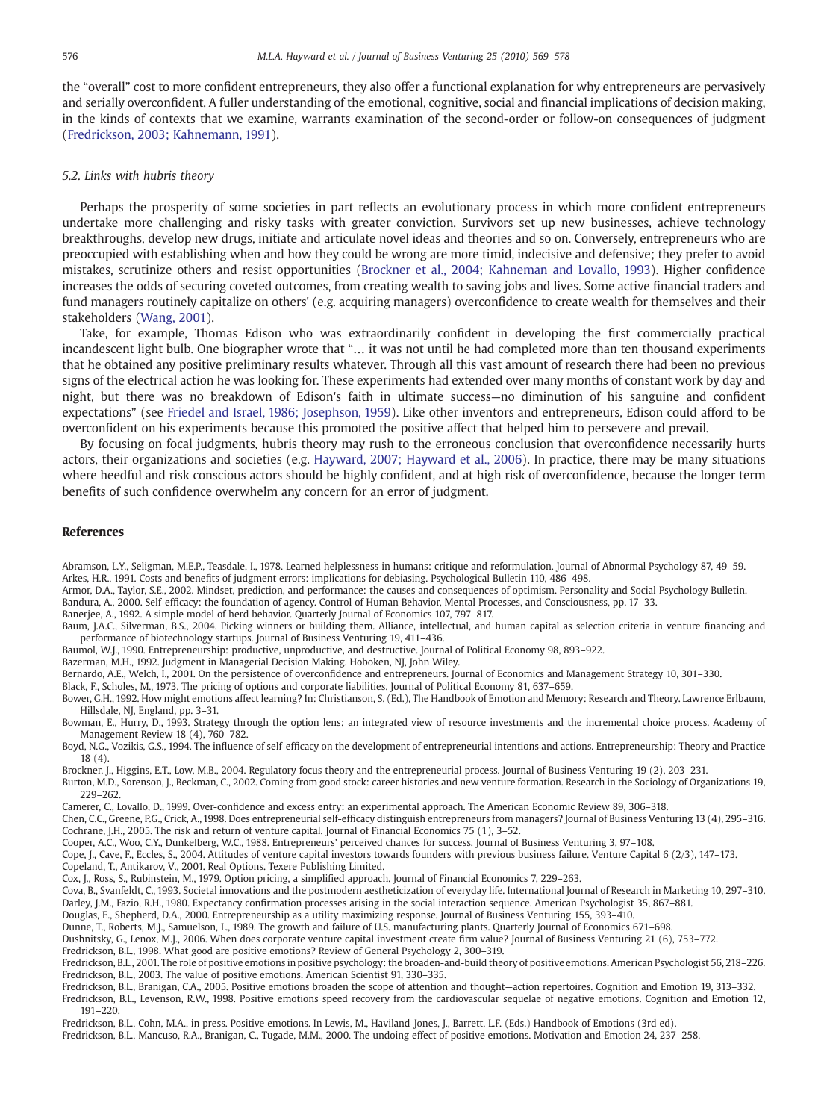<span id="page-7-0"></span>the "overall" cost to more confident entrepreneurs, they also offer a functional explanation for why entrepreneurs are pervasively and serially overconfident. A fuller understanding of the emotional, cognitive, social and financial implications of decision making, in the kinds of contexts that we examine, warrants examination of the second-order or follow-on consequences of judgment (Fredrickson, 2003; Kahnemann, 1991).

#### 5.2. Links with hubris theory

Perhaps the prosperity of some societies in part reflects an evolutionary process in which more confident entrepreneurs undertake more challenging and risky tasks with greater conviction. Survivors set up new businesses, achieve technology breakthroughs, develop new drugs, initiate and articulate novel ideas and theories and so on. Conversely, entrepreneurs who are preoccupied with establishing when and how they could be wrong are more timid, indecisive and defensive; they prefer to avoid mistakes, scrutinize others and resist opportunities (Brockner et al., 2004; Kahneman and Lovallo, 1993). Higher confidence increases the odds of securing coveted outcomes, from creating wealth to saving jobs and lives. Some active financial traders and fund managers routinely capitalize on others' (e.g. acquiring managers) overconfidence to create wealth for themselves and their stakeholders [\(Wang, 2001\)](#page-9-0).

Take, for example, Thomas Edison who was extraordinarily confident in developing the first commercially practical incandescent light bulb. One biographer wrote that "… it was not until he had completed more than ten thousand experiments that he obtained any positive preliminary results whatever. Through all this vast amount of research there had been no previous signs of the electrical action he was looking for. These experiments had extended over many months of constant work by day and night, but there was no breakdown of Edison's faith in ultimate success—no diminution of his sanguine and confident expectations" (see [Friedel and Israel, 1986; Josephson, 1959](#page-8-0)). Like other inventors and entrepreneurs, Edison could afford to be overconfident on his experiments because this promoted the positive affect that helped him to persevere and prevail.

By focusing on focal judgments, hubris theory may rush to the erroneous conclusion that overconfidence necessarily hurts actors, their organizations and societies (e.g. [Hayward, 2007; Hayward et al., 2006](#page-8-0)). In practice, there may be many situations where heedful and risk conscious actors should be highly confident, and at high risk of overconfidence, because the longer term benefits of such confidence overwhelm any concern for an error of judgment.

#### References

Abramson, L.Y., Seligman, M.E.P., Teasdale, I., 1978. Learned helplessness in humans: critique and reformulation. Journal of Abnormal Psychology 87, 49–59. Arkes, H.R., 1991. Costs and benefits of judgment errors: implications for debiasing. Psychological Bulletin 110, 486–498.

Armor, D.A., Taylor, S.E., 2002. Mindset, prediction, and performance: the causes and consequences of optimism. Personality and Social Psychology Bulletin. Bandura, A., 2000. Self-efficacy: the foundation of agency. Control of Human Behavior, Mental Processes, and Consciousness, pp. 17–33.

Banerjee, A., 1992. A simple model of herd behavior. Quarterly Journal of Economics 107, 797–817.

Baum, J.A.C., Silverman, B.S., 2004. Picking winners or building them. Alliance, intellectual, and human capital as selection criteria in venture financing and performance of biotechnology startups. Journal of Business Venturing 19, 411–436.

Baumol, W.J., 1990. Entrepreneurship: productive, unproductive, and destructive. Journal of Political Economy 98, 893–922.

Bazerman, M.H., 1992. Judgment in Managerial Decision Making. Hoboken, NJ, John Wiley.

Bernardo, A.E., Welch, I., 2001. On the persistence of overconfidence and entrepreneurs. Journal of Economics and Management Strategy 10, 301–330.

Black, F., Scholes, M., 1973. The pricing of options and corporate liabilities. Journal of Political Economy 81, 637–659. Bower, G.H., 1992. How might emotions affect learning? In: Christianson, S. (Ed.), The Handbook of Emotion and Memory: Research and Theory. Lawrence Erlbaum, Hillsdale, NJ, England, pp. 3–31.

Bowman, E., Hurry, D., 1993. Strategy through the option lens: an integrated view of resource investments and the incremental choice process. Academy of Management Review 18 (4), 760–782.

Boyd, N.G., Vozikis, G.S., 1994. The influence of self-efficacy on the development of entrepreneurial intentions and actions. Entrepreneurship: Theory and Practice 18 (4).

Brockner, J., Higgins, E.T., Low, M.B., 2004. Regulatory focus theory and the entrepreneurial process. Journal of Business Venturing 19 (2), 203–231.

Burton, M.D., Sorenson, J., Beckman, C., 2002. Coming from good stock: career histories and new venture formation. Research in the Sociology of Organizations 19, 229–262.

Camerer, C., Lovallo, D., 1999. Over-confidence and excess entry: an experimental approach. The American Economic Review 89, 306–318.

Chen, C.C., Greene, P.G., Crick, A., 1998. Does entrepreneurial self-efficacy distinguish entrepreneurs from managers? Journal of Business Venturing 13 (4), 295–316. Cochrane, J.H., 2005. The risk and return of venture capital. Journal of Financial Economics 75 (1), 3–52.

Cooper, A.C., Woo, C.Y., Dunkelberg, W.C., 1988. Entrepreneurs' perceived chances for success. Journal of Business Venturing 3, 97–108.

Cope, J., Cave, F., Eccles, S., 2004. Attitudes of venture capital investors towards founders with previous business failure. Venture Capital 6 (2/3), 147–173.

Copeland, T., Antikarov, V., 2001. Real Options. Texere Publishing Limited.

Cox, J., Ross, S., Rubinstein, M., 1979. Option pricing, a simplified approach. Journal of Financial Economics 7, 229–263.

Cova, B., Svanfeldt, C., 1993. Societal innovations and the postmodern aestheticization of everyday life. International Journal of Research in Marketing 10, 297–310. Darley, J.M., Fazio, R.H., 1980. Expectancy confirmation processes arising in the social interaction sequence. American Psychologist 35, 867–881.

Douglas, E., Shepherd, D.A., 2000. Entrepreneurship as a utility maximizing response. Journal of Business Venturing 155, 393–410.

Dunne, T., Roberts, M.J., Samuelson, L., 1989. The growth and failure of U.S. manufacturing plants. Quarterly Journal of Economics 671–698.

Dushnitsky, G., Lenox, M.J., 2006. When does corporate venture capital investment create firm value? Journal of Business Venturing 21 (6), 753–772.

Fredrickson, B.L., 1998. What good are positive emotions? Review of General Psychology 2, 300–319.

Fredrickson, B.L., 2001. The role of positive emotions in positive psychology: the broaden-and-build theory of positive emotions. American Psychologist 56, 218–226. Fredrickson, B.L., 2003. The value of positive emotions. American Scientist 91, 330–335.

Fredrickson, B.L., Branigan, C.A., 2005. Positive emotions broaden the scope of attention and thought—action repertoires. Cognition and Emotion 19, 313–332. Fredrickson, B.L., Levenson, R.W., 1998. Positive emotions speed recovery from the cardiovascular sequelae of negative emotions. Cognition and Emotion 12, 191–220.

Fredrickson, B.L., Cohn, M.A., in press. Positive emotions. In Lewis, M., Haviland-Jones, J., Barrett, L.F. (Eds.) Handbook of Emotions (3rd ed).

Fredrickson, B.L., Mancuso, R.A., Branigan, C., Tugade, M.M., 2000. The undoing effect of positive emotions. Motivation and Emotion 24, 237–258.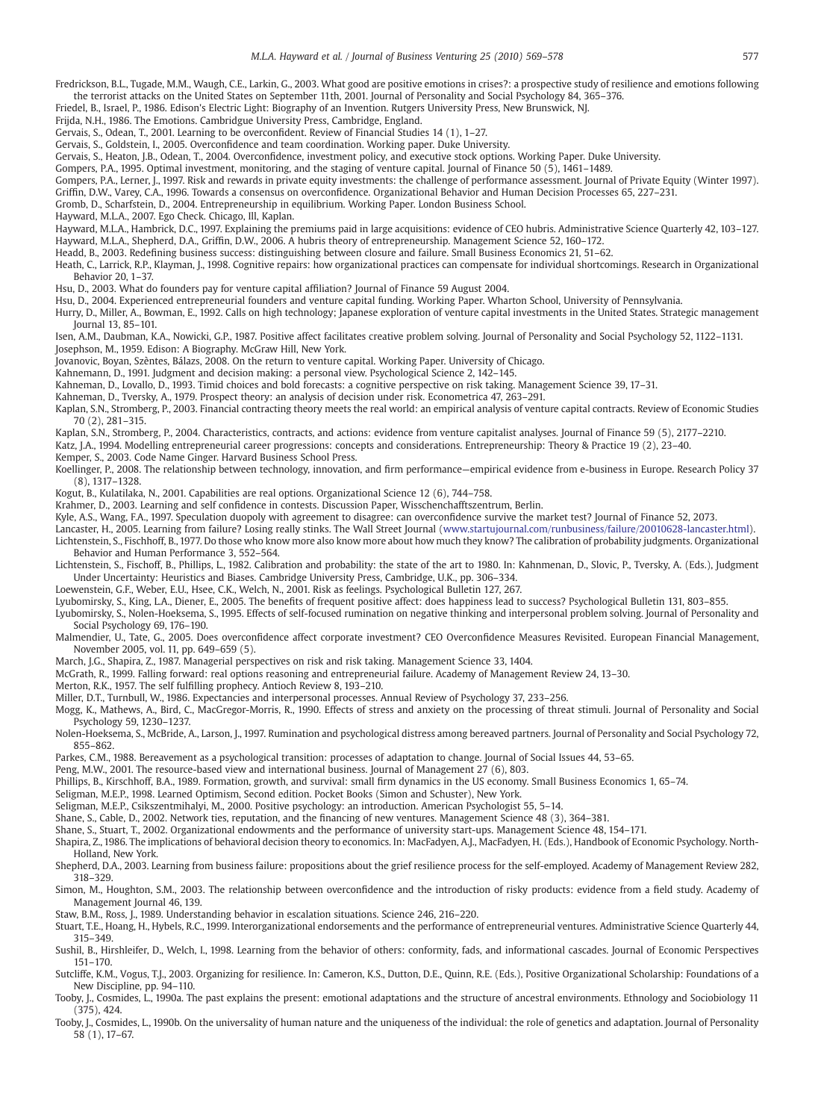<span id="page-8-0"></span>Fredrickson, B.L., Tugade, M.M., Waugh, C.E., Larkin, G., 2003. What good are positive emotions in crises?: a prospective study of resilience and emotions following the terrorist attacks on the United States on September 11th, 2001. Journal of Personality and Social Psychology 84, 365–376.

Friedel, B., Israel, P., 1986. Edison's Electric Light: Biography of an Invention. Rutgers University Press, New Brunswick, NJ.

Frijda, N.H., 1986. The Emotions. Cambridgue University Press, Cambridge, England.

Gervais, S., Odean, T., 2001. Learning to be overconfident. Review of Financial Studies 14 (1), 1–27.

Gervais, S., Goldstein, I., 2005. Overconfidence and team coordination. Working paper. Duke University.

Gervais, S., Heaton, J.B., Odean, T., 2004. Overconfidence, investment policy, and executive stock options. Working Paper. Duke University.

Gompers, P.A., 1995. Optimal investment, monitoring, and the staging of venture capital. Journal of Finance 50 (5), 1461–1489.

Gompers, P.A., Lerner, J., 1997. Risk and rewards in private equity investments: the challenge of performance assessment. Journal of Private Equity (Winter 1997).

Griffin, D.W., Varey, C.A., 1996. Towards a consensus on overconfidence. Organizational Behavior and Human Decision Processes 65, 227–231.

Gromb, D., Scharfstein, D., 2004. Entrepreneurship in equilibrium. Working Paper. London Business School.

Hayward, M.L.A., 2007. Ego Check. Chicago, Ill, Kaplan.

Hayward, M.L.A., Hambrick, D.C., 1997. Explaining the premiums paid in large acquisitions: evidence of CEO hubris. Administrative Science Quarterly 42, 103–127. Hayward, M.L.A., Shepherd, D.A., Griffin, D.W., 2006. A hubris theory of entrepreneurship. Management Science 52, 160–172.

Headd, B., 2003. Redefining business success: distinguishing between closure and failure. Small Business Economics 21, 51–62.

Heath, C., Larrick, R.P., Klayman, J., 1998. Cognitive repairs: how organizational practices can compensate for individual shortcomings. Research in Organizational Behavior 20, 1–37.

Hsu, D., 2003. What do founders pay for venture capital affiliation? Journal of Finance 59 August 2004.

Hsu, D., 2004. Experienced entrepreneurial founders and venture capital funding. Working Paper. Wharton School, University of Pennsylvania.

Hurry, D., Miller, A., Bowman, E., 1992. Calls on high technology; Japanese exploration of venture capital investments in the United States. Strategic management Journal 13, 85–101.

Isen, A.M., Daubman, K.A., Nowicki, G.P., 1987. Positive affect facilitates creative problem solving. Journal of Personality and Social Psychology 52, 1122–1131. Josephson, M., 1959. Edison: A Biography. McGraw Hill, New York.

Jovanovic, Boyan, Szèntes, Bálazs, 2008. On the return to venture capital. Working Paper. University of Chicago.

Kahnemann, D., 1991. Judgment and decision making: a personal view. Psychological Science 2, 142–145.

Kahneman, D., Lovallo, D., 1993. Timid choices and bold forecasts: a cognitive perspective on risk taking. Management Science 39, 17–31.

Kahneman, D., Tversky, A., 1979. Prospect theory: an analysis of decision under risk. Econometrica 47, 263–291.

Kaplan, S.N., Stromberg, P., 2003. Financial contracting theory meets the real world: an empirical analysis of venture capital contracts. Review of Economic Studies 70 (2), 281–315.

Kaplan, S.N., Stromberg, P., 2004. Characteristics, contracts, and actions: evidence from venture capitalist analyses. Journal of Finance 59 (5), 2177–2210.

Katz, J.A., 1994. Modelling entrepreneurial career progressions: concepts and considerations. Entrepreneurship: Theory & Practice 19 (2), 23–40.

Kemper, S., 2003. Code Name Ginger. Harvard Business School Press.

Koellinger, P., 2008. The relationship between technology, innovation, and firm performance—empirical evidence from e-business in Europe. Research Policy 37 (8), 1317–1328.

Kogut, B., Kulatilaka, N., 2001. Capabilities are real options. Organizational Science 12 (6), 744–758.

Krahmer, D., 2003. Learning and self confidence in contests. Discussion Paper, Wisschenchafftszentrum, Berlin.

Kyle, A.S., Wang, F.A., 1997. Speculation duopoly with agreement to disagree: can overconfidence survive the market test? Journal of Finance 52, 2073.

Lancaster, H., 2005. Learning from failure? Losing really stinks. The Wall Street Journal ([www.startujournal.com/runbusiness/failure/20010628-lancaster.html\)](http://www.startujournal.com/runbusiness/failure/20010628-lancaster.html). Lichtenstein, S., Fischhoff, B., 1977. Do those who know more also know more about how much they know? The calibration of probability judgments. Organizational Behavior and Human Performance 3, 552–564.

Lichtenstein, S., Fischoff, B., Phillips, L., 1982. Calibration and probability: the state of the art to 1980. In: Kahnmenan, D., Slovic, P., Tversky, A. (Eds.), Judgment Under Uncertainty: Heuristics and Biases. Cambridge University Press, Cambridge, U.K., pp. 306–334.

Loewenstein, G.F., Weber, E.U., Hsee, C.K., Welch, N., 2001. Risk as feelings. Psychological Bulletin 127, 267.

Lyubomirsky, S., King, L.A., Diener, E., 2005. The benefits of frequent positive affect: does happiness lead to success? Psychological Bulletin 131, 803–855.

Lyubomirsky, S., Nolen-Hoeksema, S., 1995. Effects of self-focused rumination on negative thinking and interpersonal problem solving. Journal of Personality and Social Psychology 69, 176–190.

Malmendier, U., Tate, G., 2005. Does overconfidence affect corporate investment? CEO Overconfidence Measures Revisited. European Financial Management, November 2005, vol. 11, pp. 649–659 (5).

March, J.G., Shapira, Z., 1987. Managerial perspectives on risk and risk taking. Management Science 33, 1404.

McGrath, R., 1999. Falling forward: real options reasoning and entrepreneurial failure. Academy of Management Review 24, 13–30.

Merton, R.K., 1957. The self fulfilling prophecy. Antioch Review 8, 193–210.

Miller, D.T., Turnbull, W., 1986. Expectancies and interpersonal processes. Annual Review of Psychology 37, 233–256.

Mogg, K., Mathews, A., Bird, C., MacGregor-Morris, R., 1990. Effects of stress and anxiety on the processing of threat stimuli. Journal of Personality and Social Psychology 59, 1230–1237.

Nolen-Hoeksema, S., McBride, A., Larson, J., 1997. Rumination and psychological distress among bereaved partners. Journal of Personality and Social Psychology 72, 855–862.

Parkes, C.M., 1988. Bereavement as a psychological transition: processes of adaptation to change. Journal of Social Issues 44, 53–65.

Peng, M.W., 2001. The resource-based view and international business. Journal of Management 27 (6), 803.

Phillips, B., Kirschhoff, B.A., 1989. Formation, growth, and survival: small firm dynamics in the US economy. Small Business Economics 1, 65–74.

Seligman, M.E.P., 1998. Learned Optimism, Second edition. Pocket Books (Simon and Schuster), New York.

Seligman, M.E.P., Csikszentmihalyi, M., 2000. Positive psychology: an introduction. American Psychologist 55, 5–14.

Shane, S., Cable, D., 2002. Network ties, reputation, and the financing of new ventures. Management Science 48 (3), 364–381.

Shane, S., Stuart, T., 2002. Organizational endowments and the performance of university start-ups. Management Science 48, 154–171.

Shapira, Z., 1986. The implications of behavioral decision theory to economics. In: MacFadyen, A.J., MacFadyen, H. (Eds.), Handbook of Economic Psychology. North-Holland, New York.

Shepherd, D.A., 2003. Learning from business failure: propositions about the grief resilience process for the self-employed. Academy of Management Review 282, 318–329.

Simon, M., Houghton, S.M., 2003. The relationship between overconfidence and the introduction of risky products: evidence from a field study. Academy of Management Journal 46, 139.

Staw, B.M., Ross, J., 1989. Understanding behavior in escalation situations. Science 246, 216–220.

Stuart, T.E., Hoang, H., Hybels, R.C., 1999. Interorganizational endorsements and the performance of entrepreneurial ventures. Administrative Science Quarterly 44, 315–349.

Sushil, B., Hirshleifer, D., Welch, I., 1998. Learning from the behavior of others: conformity, fads, and informational cascades. Journal of Economic Perspectives 151–170.

Sutcliffe, K.M., Vogus, T.J., 2003. Organizing for resilience. In: Cameron, K.S., Dutton, D.E., Quinn, R.E. (Eds.), Positive Organizational Scholarship: Foundations of a New Discipline, pp. 94–110.

Tooby, J., Cosmides, L., 1990a. The past explains the present: emotional adaptations and the structure of ancestral environments. Ethnology and Sociobiology 11 (375), 424.

Tooby, J., Cosmides, L., 1990b. On the universality of human nature and the uniqueness of the individual: the role of genetics and adaptation. Journal of Personality 58 (1), 17–67.